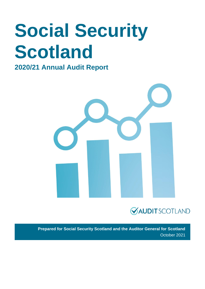# **Social Security Scotland**

### **2020/21 Annual Audit Report**





**Prepared for Social Security Scotland and the Auditor General for Scotland** October 2021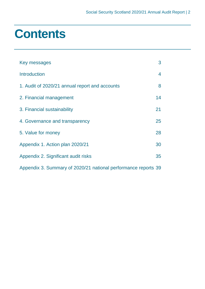### **Contents**

| Key messages                                                   | 3  |
|----------------------------------------------------------------|----|
| <b>Introduction</b>                                            | 4  |
| 1. Audit of 2020/21 annual report and accounts                 | 8  |
| 2. Financial management                                        | 14 |
| 3. Financial sustainability                                    | 21 |
| 4. Governance and transparency                                 | 25 |
| 5. Value for money                                             | 28 |
| Appendix 1. Action plan 2020/21                                | 30 |
| Appendix 2. Significant audit risks                            | 35 |
| Appendix 3. Summary of 2020/21 national performance reports 39 |    |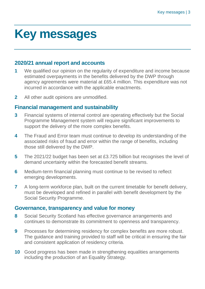### **Key messages**

#### **2020/21 annual report and accounts**

- **1** We qualified our opinion on the regularity of expenditure and income because estimated overpayments in the benefits delivered by the DWP through agency agreements were material at £65.4 million. This expenditure was not incurred in accordance with the applicable enactments.
- **2** All other audit opinions are unmodified.

#### **Financial management and sustainability**

- **3** Financial systems of internal control are operating effectively but the Social Programme Management system will require significant improvements to support the delivery of the more complex benefits.
- **4** The Fraud and Error team must continue to develop its understanding of the associated risks of fraud and error within the range of benefits, including those still delivered by the DWP.
- **5** The 2021/22 budget has been set at £3.725 billion but recognises the level of demand uncertainty within the forecasted benefit streams.
- **6** Medium-term financial planning must continue to be revised to reflect emerging developments.
- **7** A long-term workforce plan, built on the current timetable for benefit delivery, must be developed and refined in parallel with benefit development by the Social Security Programme.

#### **Governance, transparency and value for money**

- **8** Social Security Scotland has effective governance arrangements and continues to demonstrate its commitment to openness and transparency.
- **9** Processes for determining residency for complex benefits are more robust. The guidance and training provided to staff will be critical in ensuring the fair and consistent application of residency criteria.
- **10** Good progress has been made in strengthening equalities arrangements including the production of an Equality Strategy.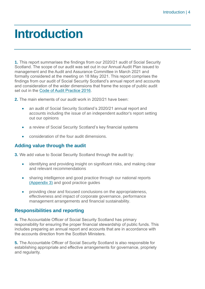### **Introduction**

**1.** This report summarises the findings from our 2020/21 audit of Social Security Scotland. The scope of our audit was set out in our Annual Audit Plan issued to management and the Audit and Assurance Committee in March 2021 and formally considered at the meeting on 18 May 2021. This report comprises the findings from our audit of Social Security Scotland's annual report and accounts and consideration of the wider dimensions that frame the scope of public audit set out in the [Code of Audit Practice 2016.](http://www.audit-scotland.gov.uk/report/code-of-audit-practice-2016)

**2.** The main elements of our audit work in 2020/21 have been:

- an audit of Social Security Scotland's 2020/21 annual report and accounts including the issue of an independent auditor's report setting out our opinions
- a review of Social Security Scotland's key financial systems
- consideration of the four audit dimensions.

#### **Adding value through the audit**

**3.** We add value to Social Security Scotland through the audit by:

- identifying and providing insight on significant risks, and making clear and relevant recommendations
- sharing intelligence and good practice through our national reports (Appendix 3) and good practice guides
- providing clear and focused conclusions on the appropriateness, effectiveness and impact of corporate governance, performance management arrangements and financial sustainability.

#### **Responsibilities and reporting**

**4.** The Accountable Officer of Social Security Scotland has primary responsibility for ensuring the proper financial stewardship of public funds. This includes preparing an annual report and accounts that are in accordance with the accounts direction from the Scottish Ministers.

**5.** The Accountable Officer of Social Security Scotland is also responsible for establishing appropriate and effective arrangements for governance, propriety and regularity.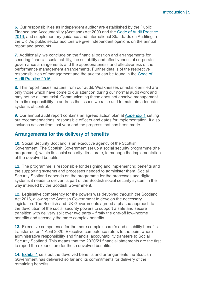**6.** Our responsibilities as independent auditor are established by the Public Finance and Accountability (Scotland) Act 2000 and the [Code of Audit Practice](https://www.audit-scotland.gov.uk/report/code-of-audit-practice-2016)  [2016,](https://www.audit-scotland.gov.uk/report/code-of-audit-practice-2016) and supplementary guidance and International Standards on Auditing in the UK. As public sector auditors we give independent opinions on the annual report and accounts.

**7.** Additionally, we conclude on the financial position and arrangements for securing financial sustainability, the suitability and effectiveness of corporate governance arrangements and the appropriateness and effectiveness of the performance management arrangements. Further details of the respective responsibilities of management and the auditor can be found in the [Code of](http://auditscotland.spideronline.co.uk/report/code-of-audit-practice-2016)  [Audit Practice 2016.](http://auditscotland.spideronline.co.uk/report/code-of-audit-practice-2016)

**8.** This report raises matters from our audit. Weaknesses or risks identified are only those which have come to our attention during our normal audit work and may not be all that exist. Communicating these does not absolve management from its responsibility to address the issues we raise and to maintain adequate systems of control.

**9.** Our annual audit report contains an agreed action plan at Appendix 1 setting out recommendations, responsible officers and dates for implementation. It also includes actions from last year and the progress that has been made.

#### **Arrangements for the delivery of benefits**

**10.** Social Security Scotland is an executive agency of the Scottish Government. The Scottish Government set up a social security programme (the programme), within its social security directorate, to manage the implementation of the devolved benefits.

**11.** The programme is responsible for designing and implementing benefits and the supporting systems and processes needed to administer them. Social Security Scotland depends on the programme for the processes and digital systems it needs to deliver its part of the Scottish social security system in the way intended by the Scottish Government.

**12.** Legislative competency for the powers was devolved through the Scotland Act 2016, allowing the Scottish Government to develop the necessary legislation. The Scottish and UK Governments agreed a phased approach to the devolution of the social security powers to support a safe and secure transition with delivery split over two parts – firstly the one-off low-income benefits and secondly the more complex benefits.

**13.** Executive competence for the more complex carer's and disability benefits transferred on 1 April 2020. Executive competence refers to the point where administrative responsibility and financial accountability transfers to Social Security Scotland. This means that the 2020/21 financial statements are the first to report the expenditure for these devolved benefits.

**14.** Exhibit 1 sets out the devolved benefits and arrangements the Scottish Government has delivered so far and its commitments for delivery of the remaining benefits.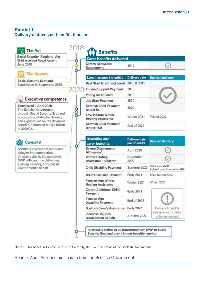#### **Exhibit 1 Delivery of devolved benefits timeline**

| <b>Social Security (Scotland) Act</b><br>2018 received Royal Assent                                                       | <b>Carer benefits delivered</b>                        |                                      |                                                  |
|---------------------------------------------------------------------------------------------------------------------------|--------------------------------------------------------|--------------------------------------|--------------------------------------------------|
| June 2018                                                                                                                 | <b>Carer's Allowance</b><br>Supplement                 | 2018                                 |                                                  |
| <b>The Agency</b>                                                                                                         |                                                        |                                      |                                                  |
| <b>Social Security Scotland</b>                                                                                           | <b>Low-income benefits</b>                             | <b>Delivery date</b>                 | <b>Revised delivery</b>                          |
| Established in September 2018                                                                                             | Best Start Grant and Foods 2018 & 2019                 |                                      |                                                  |
|                                                                                                                           | <b>Funeral Support Payment</b>                         | 2019                                 |                                                  |
|                                                                                                                           | <b>Young Carer Grant</b>                               | 2019                                 |                                                  |
| <b>Executive competence</b>                                                                                               | <b>Job Start Payment</b>                               | 2020                                 |                                                  |
| Transferred 1 April 2020<br>The Scottish Government,                                                                      | <b>Scottish Child Payment</b><br>(under 6s)            | 2021                                 |                                                  |
| through Social Security Scotland,<br>is now accountable for delivery<br>and expenditure on the devolved                   | Low Income Winter<br><b>Heating Assistance</b>         | Winter 2021                          | Winter 2022                                      |
| benefits. Estimated at £3.5 billion<br>in 2020/21.                                                                        | <b>Scottish Child Payment</b><br>(under 16s)           | End of 2022                          |                                                  |
| Covid-19                                                                                                                  | <b>Disability and</b><br>carer benefits                | <b>Delivery date</b><br>pre Covid-19 | <b>Revised delivery</b>                          |
| Scottish Government announce<br>delay to implementation<br>timetable due to the pandemic.<br>DWP will continue delivering | <b>Severe Disablement</b><br>Allowance <sup>1</sup>    | April 2020                           |                                                  |
|                                                                                                                           | <b>Winter Heating</b><br>Assistance - Children         | November<br>2020                     |                                                  |
| existing benefits, on Scottish<br>Government's behalf.                                                                    | <b>Child Disability Payment</b>                        | Summer 2020                          | Pilot: July 2021<br>Full roll out: November 2021 |
|                                                                                                                           | <b>Adult Disability Payment</b>                        | Early 2021                           | Pilot: Spring 2022                               |
|                                                                                                                           | <b>Pension Age Winter</b><br><b>Heating Assistance</b> | Winter 2021                          | Winter 2024                                      |
|                                                                                                                           | <b>Carer's Additional Child</b><br>Payment             | Early 2021                           |                                                  |
|                                                                                                                           | <b>Pension Age</b><br><b>Disability Payment</b>        | End of 2021                          |                                                  |
|                                                                                                                           | <b>Scottish Carer's Assistance</b>                     | Early 2022                           | Delivery timetable                               |
|                                                                                                                           | Industrial Injuries                                    | Autumn 2022                          | being revised - dates<br>to be announced         |

Note: 1. This benefit will continue to be delivered by the DWP on behalf of the Scottish Government.

Source: Audit Scotland, using data from the Scottish Government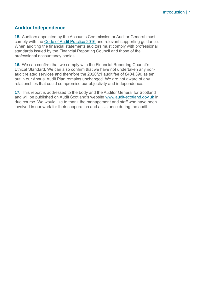#### **Auditor Independence**

**15.** Auditors appointed by the Accounts Commission or Auditor General must comply with the [Code of Audit Practice 2016](http://auditscotland.spideronline.co.uk/report/code-of-audit-practice-2016) and relevant supporting guidance. When auditing the financial statements auditors must comply with professional standards issued by the Financial Reporting Council and those of the professional accountancy bodies.

**16.** We can confirm that we comply with the Financial Reporting Council's Ethical Standard. We can also confirm that we have not undertaken any nonaudit related services and therefore the 2020/21 audit fee of £404,390 as set out in our Annual Audit Plan remains unchanged. We are not aware of any relationships that could compromise our objectivity and independence.

**17.** This report is addressed to the body and the Auditor General for Scotland and will be published on Audit Scotland's website [www.audit-scotland.gov.uk](http://www.audit-scotland.gov.uk/) in due course. We would like to thank the management and staff who have been involved in our work for their cooperation and assistance during the audit.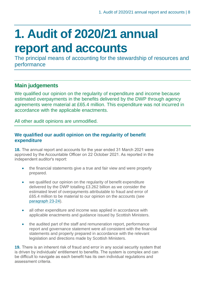### **1. Audit of 2020/21 annual report and accounts**

The principal means of accounting for the stewardship of resources and performance

#### **Main judgements**

We qualified our opinion on the regularity of expenditure and income because estimated overpayments in the benefits delivered by the DWP through agency agreements were material at £65.4 million. This expenditure was not incurred in accordance with the applicable enactments.

All other audit opinions are unmodified.

#### **We qualified our audit opinion on the regularity of benefit expenditure**

**18.** The annual report and accounts for the year ended 31 March 2021 were approved by the Accountable Officer on 22 October 2021. As reported in the independent auditor's report:

- the financial statements give a true and fair view and were properly prepared.
- we qualified our opinion on the regularity of benefit expenditure delivered by the DWP totalling £3.262 billion as we consider the estimated level of overpayments attributable to fraud and error of £65.4 million to be material to our opinion on the accounts (see paragraph 23-24).
- all other expenditure and income was applied in accordance with applicable enactments and guidance issued by Scottish Ministers.
- the audited part of the staff and remuneration report, performance report and governance statement were all consistent with the financial statements and properly prepared in accordance with the relevant legislation and directions made by Scottish Ministers.

**19.** There is an inherent risk of fraud and error in any social security system that is driven by individuals' entitlement to benefits. The system is complex and can be difficult to navigate as each benefit has its own individual regulations and assessment criteria.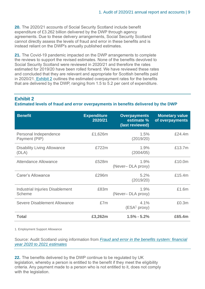**20.** The 2020/21 accounts of Social Security Scotland include benefit expenditure of £3.262 billion delivered by the DWP through agency agreements. Due to these delivery arrangements, Social Security Scotland cannot directly assess the levels of fraud and error in these benefits and is instead reliant on the DWP's annually published estimates.

**21.** The Covid-19 pandemic impacted on the DWP arrangements to complete the reviews to support the revised estimates. None of the benefits devolved to Social Security Scotland were reviewed in 2020/21 and therefore the rates estimated for 2019/20 have been rolled forward. We have reviewed these rates and concluded that they are relevant and appropriate for Scottish benefits paid in 2020/21. Exhibit 2 outlines the estimated overpayment rates for the benefits that are delivered by the DWP, ranging from 1.5 to 5.2 per cent of expenditure.

#### **Exhibit 2**

**Estimated levels of fraud and error overpayments in benefits delivered by the DWP**

| <b>Benefit</b>                                          | <b>Expenditure</b><br>2020/21 | <b>Overpayments</b><br>estimate %<br>(last reviewed) | <b>Monetary value</b><br>of overpayments |
|---------------------------------------------------------|-------------------------------|------------------------------------------------------|------------------------------------------|
| Personal Independence<br>Payment (PIP)                  | £1,626m                       | 1.5%<br>(2019/20)                                    | £24.4m                                   |
| <b>Disability Living Allowance</b><br>(DLA)             | £722m                         | 1.9%<br>(2004/05)                                    | £13.7m                                   |
| Attendance Allowance                                    | £528m                         | 1.9%<br>(Never-DLA proxy)                            | £10.0m                                   |
| <b>Carer's Allowance</b>                                | £296m                         | 5.2%<br>(2019/20)                                    | £15.4m                                   |
| <b>Industrial Injuries Disablement</b><br><b>Scheme</b> | £83m                          | 1.9%<br>(Never-DLA proxy)                            | £1.6m                                    |
| Severe Disablement Allowance                            | £7m                           | 4.1%<br>(ESA <sup>1</sup> proxy)                     | £0.3m                                    |
| <b>Total</b>                                            | £3,262m                       | $1.5\% - 5.2\%$                                      | £65.4m                                   |

1. Employment Support Allowance

Source: Audit Scotland using information from *[Fraud and error in the benefits system: financial](https://www.gov.uk/government/statistics/fraud-and-error-in-the-benefit-system-financial-year-2020-to-2021-estimates)  year [2020 to 2021 estimates](https://www.gov.uk/government/statistics/fraud-and-error-in-the-benefit-system-financial-year-2020-to-2021-estimates)*

**22.** The benefits delivered by the DWP continue to be regulated by UK legislation, whereby a person is entitled to the benefit if they meet the eligibility criteria. Any payment made to a person who is not entitled to it, does not comply with the legislation.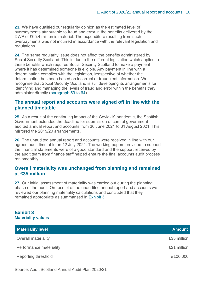**23.** We have qualified our regularity opinion as the estimated level of overpayments attributable to fraud and error in the benefits delivered by the DWP of £65.4 million is material. The expenditure resulting from such overpayments was not incurred in accordance with the relevant legislation and regulations.

**24.** The same regularity issue does not affect the benefits administered by Social Security Scotland. This is due to the different legislation which applies to these benefits which requires Social Security Scotland to make a payment where it has determined someone is eligible. Any payment in line with a determination complies with the legislation, irrespective of whether the determination has been based on incorrect or fraudulent information. We recognise that Social Security Scotland is still developing its arrangements for identifying and managing the levels of fraud and error within the benefits they administer directly (paragraph 59 to 64).

#### **The annual report and accounts were signed off in line with the planned timetable**

**25.** As a result of the continuing impact of the Covid-19 pandemic, the Scottish Government extended the deadline for submission of central government audited annual report and accounts from 30 June 2021 to 31 August 2021. This mirrored the 2019/20 arrangements.

**26.** The unaudited annual report and accounts were received in line with our agreed audit timetable on 12 July 2021. The working papers provided to support the financial statements were of a good standard and the support received by the audit team from finance staff helped ensure the final accounts audit process ran smoothly.

#### **Overall materiality was unchanged from planning and remained at £35 million**

**27.** Our initial assessment of materiality was carried out during the planning phase of the audit. On receipt of the unaudited annual report and accounts we reviewed our planning materiality calculations and concluded that they remained appropriate as summarised in Exhibit 3.

#### **Exhibit 3 Materiality values**

| <b>Materiality level</b>   | <b>Amount</b> |
|----------------------------|---------------|
| <b>Overall materiality</b> | £35 million   |
| Performance materiality    | £21 million   |
| Reporting threshold        | £100,000      |

Source: Audit Scotland Annual Audit Plan 2020/21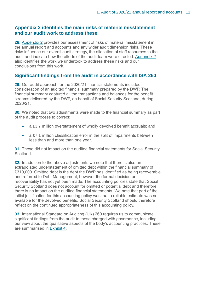#### **Appendix 2 identifies the main risks of material misstatement and our audit work to address these**

**28.** Appendix 2 provides our assessment of risks of material misstatement in the annual report and accounts and any wider audit dimension risks. These risks influence our overall audit strategy, the allocation of staff resources to the audit and indicate how the efforts of the audit team were directed. Appendix 2 also identifies the work we undertook to address these risks and our conclusions from this work.

#### **Significant findings from the audit in accordance with ISA 260**

**29.** Our audit approach for the 2020/21 financial statements included consideration of an audited financial summary prepared by the DWP. The financial summary captured all the transactions and balances for the benefit streams delivered by the DWP, on behalf of Social Security Scotland, during 2020/21.

**30.** We noted that two adjustments were made to the financial summary as part of the audit process to correct:

- a £3.7 million overstatement of wholly devolved benefit accruals; and
- a £7.1 million classification error in the split of impairments between less than and more than one year.

**31.** These did not impact on the audited financial statements for Social Security **Scotland** 

**32.** In addition to the above adjustments we note that there is also an extrapolated understatement of omitted debt within the financial summary of £310,000. Omitted debt is the debt the DWP has identified as being recoverable and referred to Debt Management, however the formal decision on recoverability has not yet been made. The accounting policies state that Social Security Scotland does not account for omitted or potential debt and therefore there is no impact on the audited financial statements. We note that part of the initial justification for this accounting policy was that a reliable estimate was not available for the devolved benefits. Social Security Scotland should therefore reflect on the continued appropriateness of this accounting policy.

**33.** International Standard on Auditing (UK) 260 requires us to communicate significant findings from the audit to those charged with governance, including our view about the qualitative aspects of the body's accounting practices. These are summarised in Exhibit 4.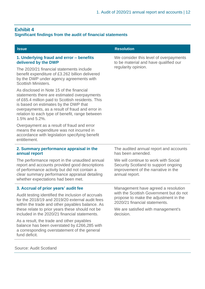#### **Exhibit 4**

#### **Significant findings from the audit of financial statements**

| <b>Issue</b>                                                                                                                                                                                                                                                                                                  | <b>Resolution</b>                                                                                                                     |
|---------------------------------------------------------------------------------------------------------------------------------------------------------------------------------------------------------------------------------------------------------------------------------------------------------------|---------------------------------------------------------------------------------------------------------------------------------------|
| 1. Underlying fraud and error - benefits<br>delivered by the DWP                                                                                                                                                                                                                                              | We consider this level of overpayments<br>to be material and have qualified our                                                       |
| The 2020/21 financial statements include<br>benefit expenditure of £3.262 billion delivered<br>by the DWP under agency agreements with<br><b>Scottish Ministers.</b>                                                                                                                                          | regularity opinion.                                                                                                                   |
| As disclosed in Note 15 of the financial<br>statements there are estimated overpayments<br>of £65.4 million paid to Scottish residents. This<br>is based on estimates by the DWP that<br>overpayments, as a result of fraud and error in<br>relation to each type of benefit, range between<br>1.5% and 5.2%. |                                                                                                                                       |
| Overpayment as a result of fraud and error<br>means the expenditure was not incurred in<br>accordance with legislation specifying benefit<br>entitlement.                                                                                                                                                     |                                                                                                                                       |
| 2. Summary performance appraisal in the<br>annual report                                                                                                                                                                                                                                                      | The audited annual report and accounts<br>has been amended.                                                                           |
| The performance report in the unaudited annual<br>report and accounts provided good descriptions<br>of performance activity but did not contain a<br>clear summary performance appraisal detailing<br>whether expectations had been met.                                                                      | We will continue to work with Social<br>Security Scotland to support ongoing<br>improvement of the narrative in the<br>annual report. |
| 3. Accrual of prior years' audit fee                                                                                                                                                                                                                                                                          | Management have agreed a resolution                                                                                                   |
| Audit testing identified the inclusion of accruals<br>for the 2018/19 and 2019/20 external audit fees<br>within the trade and other payables balance. As                                                                                                                                                      | with the Scottish Government but do not<br>propose to make the adjustment in the<br>2020/21 financial statements.                     |
| these relate to prior years these should not be<br>included in the 2020/21 financial statements.                                                                                                                                                                                                              | We are satisfied with management's<br>decision.                                                                                       |
| As a result, the trade and other payables<br>balance has been overstated by £266,285 with<br>a corresponding overstatement of the general<br>fund deficit.                                                                                                                                                    |                                                                                                                                       |

Source: Audit Scotland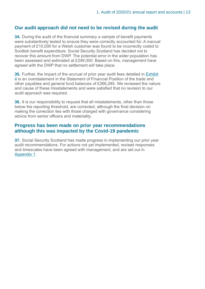#### **Our audit approach did not need to be revised during the audit**

**34.** During the audit of the financial summary a sample of benefit payments were substantively tested to ensure they were correctly accounted for. A manual payment of £10,000 for a Welsh customer was found to be incorrectly coded to Scottish benefit expenditure. Social Security Scotland has decided not to recover this amount from DWP. The potential error in the wider population has been assessed and estimated at £249,000. Based on this, management have agreed with the DWP that no settlement will take place.

**35.** Further, the impact of the accrual of prior year audit fees detailed in Exhibit 4 is an overstatement in the Statement of Financial Position of the trade and other payables and general fund balances of £266,285. We reviewed the nature and cause of these misstatements and were satisfied that no revision to our audit approach was required.

**36.** It is our responsibility to request that all misstatements, other than those below the reporting threshold, are corrected, although the final decision on making the correction lies with those charged with governance considering advice from senior officers and materiality.

#### **Progress has been made on prior year recommendations although this was impacted by the Covid-19 pandemic**

**37.** Social Security Scotland has made progress in implementing our prior year audit recommendations. For actions not yet implemented, revised responses and timescales have been agreed with management, and are set out in Appendix 1.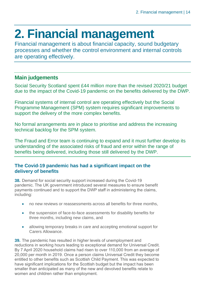## **2. Financial management**

Financial management is about financial capacity, sound budgetary processes and whether the control environment and internal controls are operating effectively.

#### **Main judgements**

Social Security Scotland spent £44 million more than the revised 2020/21 budget due to the impact of the Covid-19 pandemic on the benefits delivered by the DWP.

Financial systems of internal control are operating effectively but the Social Programme Management (SPM) system requires significant improvements to support the delivery of the more complex benefits.

No formal arrangements are in place to prioritise and address the increasing technical backlog for the SPM system.

The Fraud and Error team is continuing to expand and it must further develop its understanding of the associated risks of fraud and error within the range of benefits being delivered, including those still delivered by the DWP.

#### **The Covid-19 pandemic has had a significant impact on the delivery of benefits**

**38.** Demand for social security support increased during the Covid-19 pandemic. The UK government introduced several measures to ensure benefit payments continued and to support the DWP staff in administering the claims, including:

- no new reviews or reassessments across all benefits for three months,
- the suspension of face-to-face assessments for disability benefits for three months, including new claims, and
- allowing temporary breaks in care and accepting emotional support for Carers Allowance.

**39.** The pandemic has resulted in higher levels of unemployment and reductions in working hours leading to exceptional demand for Universal Credit. By 7 April 2020 household claims had risen to over 110,000 from an average of 20,000 per month in 2019. Once a person claims Universal Credit they become entitled to other benefits such as Scottish Child Payment. This was expected to have significant implications for the Scottish budget but the impact has been smaller than anticipated as many of the new and devolved benefits relate to women and children rather than employment.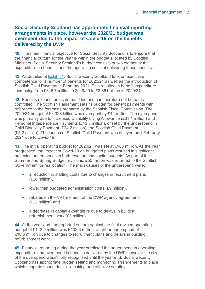#### **Social Security Scotland has appropriate financial reporting arrangements in place, however the 2020/21 budget was overspent due to the impact of Covid-19 on the benefits delivered by the DWP**

**40.** The main financial objective for Social Security Scotland is to ensure that the financial outturn for the year is within the budget allocated by Scottish Ministers. Social Security Scotland's budget consists of two elements: the expenditure on benefits and the operating costs of delivering those benefits.

**41.** As detailed at Exhibit 1, Social Security Scotland took on executive competence for a number of benefits for 2020/21 as well as the introduction of Scottish Child Payment in February 2021. This resulted in benefit expenditure increasing from £346.7 million in 2019/20 to £3.361 billion in 2020/21.

**42.** Benefits expenditure is demand led and can therefore not be easily controlled. The Scottish Parliament sets its budget for benefit payments with reference to the forecasts prepared by the Scottish Fiscal Commission. The 2020/21 budget of £3.328 billion was overspent by £44 million. The overspend was primarily due to increased Disability Living Allowance (£31.4 million) and Personal Independence Payments (£43.3 million), offset by the underspend in Child Disability Payment (£24.2 million) and Scottish Child Payment (£5.2 million). The launch of Scottish Child Payment was delayed until February 2021 due to Covid-19.

**43.** The initial operating budget for 2020/21 was set at £186 million. As the year progressed, the impact of Covid-19 on budgeted plans resulted in significant projected underspends in both revenue and capital budgets. As part of the Summer and Spring Budget revisions, £55 million was returned to the Scottish Government for reallocation. The main causes of the underspend were:

- a reduction in staffing costs due to changes in recruitment plans (£20 million),
- lower than budgeted administration costs (£9 million),
- rebates on the VAT element of the DWP agency agreements (£22 million) and
- a decrease in capital expenditure due to delays in building refurbishment work (£5 million).

**44.** At the year-end, the reported outturn against the final revised operating budget of £142.9 million was £132.3 million, a further underspend of £10.6 million due to changes to recruitment plans and delays in building refurbishment work.

**45.** Financial reporting during the year predicted the underspend in operating expenditure and overspend in benefits delivered by the DWP, however the size of the overspend wasn't fully recognised until the year end. Social Security Scotland has appropriate budget setting and monitoring arrangements in place which supports sound decision-making and effective scrutiny.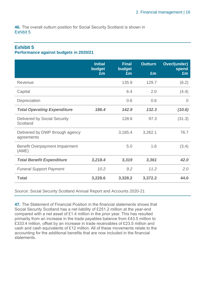**46.** The overall outturn position for Social Security Scotland is shown in Exhibit 5.

### **Exhibit 5**

#### **Performance against budgets in 2020/21**

|                                                 | <b>Initial</b><br>budget<br>£m | <b>Final</b><br>budget<br>Em | <b>Outturn</b><br>£m | <b>Over/(under)</b><br>spend<br>£m |
|-------------------------------------------------|--------------------------------|------------------------------|----------------------|------------------------------------|
| Revenue                                         |                                | 135.9                        | 129.7                | (6.2)                              |
| Capital                                         |                                | 6.4                          | 2.0                  | (4.4)                              |
| Depreciation                                    |                                | 0.6                          | 0.6                  | $\Omega$                           |
| <b>Total Operating Expenditure</b>              | 186.4                          | 142.9                        | 132.3                | (10.6)                             |
| <b>Delivered by Social Security</b><br>Scotland |                                | 128.6                        | 97.3                 | (31.3)                             |
| Delivered by DWP through agency<br>agreements   |                                | 3,185.4                      | 3,262.1              | 76.7                               |
| <b>Benefit Overpayment Impairment</b><br>(AME)  |                                | 5.0                          | 1.6                  | (3.4)                              |
| <b>Total Benefit Expenditure</b>                | 3,218.4                        | 3,319                        | 3,361                | 42.0                               |
| <b>Funeral Support Payment</b>                  | 10.2                           | 9.2                          | 11.2                 | 2.0                                |
| <b>Total</b>                                    | 3,228.6                        | 3,328.2                      | 3,372.2              | 44.0                               |

Source: Social Security Scotland Annual Report and Accounts 2020-21

**47.** The Statement of Financial Position in the financial statements shows that Social Security Scotland has a net liability of £251.2 million at the year-end compared with a net asset of £1.4 million in the prior year. This has resulted primarily from an increase in the trade payables balance from £43.5 million to £333.4 million, offset by an increase in trade receivables of £23.5 million and cash and cash equivalents of £12 million. All of these movements relate to the accounting for the additional benefits that are now included in the financial **statements**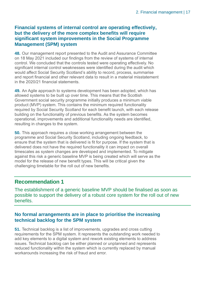#### **Financial systems of internal control are operating effectively, but the delivery of the more complex benefits will require significant system improvements in the Social Programme Management (SPM) system**

**48.** Our management report presented to the Audit and Assurance Committee on 18 May 2021 included our findings from the review of systems of internal control. We concluded that the controls tested were operating effectively. No significant internal control weaknesses were identified during the audit which would affect Social Security Scotland's ability to record, process, summarise and report financial and other relevant data to result in a material misstatement in the 2020/21 financial statements.

**49.** An Agile approach to systems development has been adopted, which has allowed systems to be built up over time. This means that the Scottish Government social security programme initially produces a minimum viable product (MVP) system. This contains the minimum required functionality required by Social Security Scotland for each benefit launch, with each release building on the functionality of previous benefits. As the system becomes operational, improvements and additional functionality needs are identified, resulting in changes to the system.

**50.** This approach requires a close working arrangement between the programme and Social Security Scotland, including ongoing feedback, to ensure that the system that is delivered is fit for purpose. If the system that is delivered does not have the required functionality it can impact on overall timescales as system changes are developed and implemented. To mitigate against this risk a generic baseline MVP is being created which will serve as the model for the release of new benefit types. This will be critical given the challenging timetable for the roll out of new benefits.

#### **Recommendation 1**

The establishment of a generic baseline MVP should be finalised as soon as possible to support the delivery of a robust core system for the roll out of new benefits.

#### **No formal arrangements are in place to prioritise the increasing technical backlog for the SPM system**

**51.** Technical backlog is a list of improvements, upgrades and cross cutting requirements for the SPM system. It represents the outstanding work needed to add key elements to a digital system and rework existing elements to address issues. Technical backlog can be either planned or unplanned and represents reduced functionality within the system which is currently replaced by manual workarounds increasing the risk of fraud and error.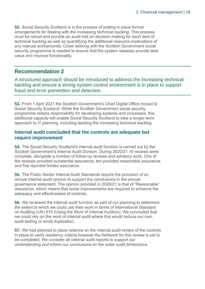**52.** Social Security Scotland is in the process of putting in place formal arrangements for dealing with the increasing technical backlog. This process must be robust and provide an audit trail on decision making for each item of technical backlog as well as quantifying the additional resource implications of any manual workarounds. Close working with the Scottish Government social security programme is needed to ensure that the system releases provide best value and improve functionality.

#### **Recommendation 2**

A structured approach should be introduced to address the increasing technical backlog and ensure a strong system control environment is in place to support fraud and error prevention and detection.

**53.** From 1 April 2021 the Scottish Government's Chief Digital Office moved to Social Security Scotland. While the Scottish Government social security programme retains responsibility for developing systems and processes, this additional capacity will enable Social Security Scotland to take a longer-term approach to IT planning, including tackling the increasing technical backlog.

#### **Internal audit concluded that the controls are adequate but require improvement**

**54.** The Social Security Scotland's internal audit function is carried out by the Scottish Government's Internal Audit Division. During 2020/21 16 reviews were complete, alongside a number of follow up reviews and advisory work. One of the reviews provided substantial assurance, ten provided reasonable assurance and five reported limited assurance.

**55.** The Public Sector Internal Audit Standards require the provision of an annual internal audit opinion to support the conclusions in the annual governance statement. The opinion provided in 2020/21 is that of "Reasonable" assurance, which means that some improvements are required to enhance the adequacy and effectiveness of controls.

**56.** We reviewed the internal audit function as part of our planning to determine the extent to which we could use their work in terms of International Standard on Auditing (UK) 610 (Using the Work of Internal Auditors). We concluded that we could rely on the work of internal audit where this would reduce our own audit testing or avoid duplication.

**57.** We had planned to place reliance on the internal audit review of the controls in place to verify residency criteria however the fieldwork for this review is yet to be completed. We consider all internal audit reports to support our understanding and inform our conclusions on the wider audit dimensions.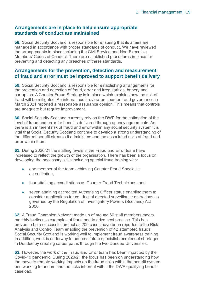#### **Arrangements are in place to help ensure appropriate standards of conduct are maintained**

**58.** Social Security Scotland is responsible for ensuring that its affairs are managed in accordance with proper standards of conduct. We have reviewed the arrangements in place including the Civil Service and Non-Executive Members' Codes of Conduct. There are established procedures in place for preventing and detecting any breaches of these standards.

#### **Arrangements for the prevention, detection and measurement of fraud and error must be improved to support benefit delivery**

**59.** Social Security Scotland is responsible for establishing arrangements for the prevention and detection of fraud, error and irregularities, bribery and corruption. A Counter Fraud Strategy is in place which explains how the risk of fraud will be mitigated. An internal audit review on counter fraud governance in March 2021 reported a reasonable assurance opinion. This means that controls are adequate but require improvement.

**60.** Social Security Scotland currently rely on the DWP for the estimation of the level of fraud and error for benefits delivered through agency agreements. As there is an inherent risk of fraud and error within any social security system it is vital that Social Security Scotland continue to develop a strong understanding of the different benefit streams it administers and the associated risks of fraud and error within them.

**61.** During 2020/21 the staffing levels in the Fraud and Error team have increased to reflect the growth of the organisation. There has been a focus on developing the necessary skills including special fraud training with:

- one member of the team achieving Counter Fraud Specialist accreditation,
- four attaining accreditations as Counter Fraud Technicians, and
- seven attaining accredited Authorising Officer status enabling them to consider applications for conduct of directed surveillance operations as governed by the Regulation of Investigatory Powers (Scotland) Act 2000.

**62.** A Fraud Champion Network made up of around 60 staff members meets monthly to discuss examples of fraud and to drive best practice. This has proved to be a successful project as 209 cases have been reported to the Risk Analysis and Control Team enabling the prevention of 42 attempted frauds. Social Security Scotland is working well to implement fraud awareness training. In addition, work is underway to address future specialist recruitment shortages in Dundee by creating career paths through the two Dundee Universities.

**63.** However, the work of the Fraud and Error team has been impacted by the Covid-19 pandemic. During 2020/21 the focus has been on understanding how the move to remote working impacts on the fraud risks within the benefit system and working to understand the risks inherent within the DWP qualifying benefit caseload.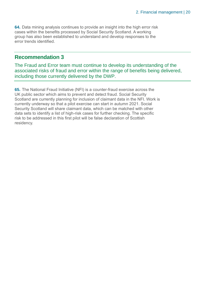**64.** Data mining analysis continues to provide an insight into the high error risk cases within the benefits processed by Social Security Scotland. A working group has also been established to understand and develop responses to the error trends identified.

#### **Recommendation 3**

The Fraud and Error team must continue to develop its understanding of the associated risks of fraud and error within the range of benefits being delivered, including those currently delivered by the DWP.

**65.** The National Fraud Initiative (NFI) is a counter-fraud exercise across the UK public sector which aims to prevent and detect fraud. Social Security Scotland are currently planning for inclusion of claimant data in the NFI. Work is currently underway so that a pilot exercise can start in autumn 2021. Social Security Scotland will share claimant data, which can be matched with other data sets to identify a list of high-risk cases for further checking. The specific risk to be addressed in this first pilot will be false declaration of Scottish residency.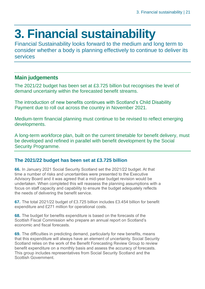### **3. Financial sustainability**

Financial Sustainability looks forward to the medium and long term to consider whether a body is planning effectively to continue to deliver its services

#### **Main judgements**

The 2021/22 budget has been set at £3.725 billion but recognises the level of demand uncertainty within the forecasted benefit streams.

The introduction of new benefits continues with Scotland's Child Disability Payment due to roll out across the country in November 2021.

Medium-term financial planning must continue to be revised to reflect emerging developments.

A long-term workforce plan, built on the current timetable for benefit delivery, must be developed and refined in parallel with benefit development by the Social Security Programme.

#### **The 2021/22 budget has been set at £3.725 billion**

**66.** In January 2021 Social Security Scotland set the 2021/22 budget. At that time a number of risks and uncertainties were presented to the Executive Advisory Board and it was agreed that a mid-year budget revision would be undertaken. When completed this will reassess the planning assumptions with a focus on staff capacity and capability to ensure the budget adequately reflects the needs of delivering the benefit service.

**67.** The total 2021/22 budget of £3.725 billion includes £3.454 billion for benefit expenditure and £271 million for operational costs.

**68.** The budget for benefits expenditure is based on the forecasts of the Scottish Fiscal Commission who prepare an annual report on Scotland's economic and fiscal forecasts.

**69.** The difficulties in predicting demand, particularly for new benefits, means that this expenditure will always have an element of uncertainty. Social Security Scotland relies on the work of the Benefit Forecasting Review Group to review benefit expenditure on a monthly basis and assess the accuracy of forecasts. This group includes representatives from Social Security Scotland and the Scottish Government.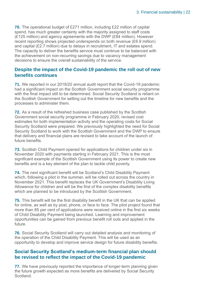**70.** The operational budget of £271 million, including £22 million of capital spend, has much greater certainty with the majority assigned to staff costs (£125 million) and agency agreements with the DWP (£84 million). However recent reporting shows projected underspends on both revenue (£6.9 million) and capital (£2.7 million) due to delays in recruitment, IT and estates spend. The capacity to deliver the benefits service must continue to be balanced with the achievement on non-recurring savings due to vacancy management decisions to ensure the overall sustainability of the service.

#### **Despite the impact of the Covid-19 pandemic the roll out of new benefits continues**

**71.** We reported in our 2019/20 annual audit report that the Covid-19 pandemic had a significant impact on the Scottish Government social security programme with the final impact still to be determined. Social Security Scotland is reliant on the Scottish Government for setting out the timeline for new benefits and the processes to administer them.

**72.** As a result of the refreshed business case published by the Scottish Government social security programme in February 2020, revised cost estimates for both implementation activity and the operating costs for Social Security Scotland were prepared. We previously highlighted the need for Social Security Scotland to work with the Scottish Government and the DWP to ensure that delivery and financial plans are revised to take account of the launch of future benefits.

**73.** Scottish Child Payment opened for applications for children under six in November 2020 with payments starting in February 2021. This is the most significant example of the Scottish Government using its power to create new benefits and is a key element of the plan to tackle child poverty.

**74.** The next significant benefit will be Scotland's Child Disability Payment which, following a pilot in the summer, will be rolled out across the country in November 2021. This benefit replaces the UK Government's Disability Living Allowance for children and will be the first of the complex disability benefits which are planned to be introduced by the Scottish Government.

**75.** This benefit will be the first disability benefit in the UK that can be applied for online, as well as by post, phone, or face to face. The pilot project found that more than 85 per cent of applications were received online in the first six weeks of Child Disability Payment being launched. Learning and improvement opportunities can be gained from previous benefit roll outs and applied in the future.

**76.** Social Security Scotland will carry out detailed analysis and monitoring of the operation of the Child Disability Payment. This will be used as an opportunity to develop and improve service design for future disability benefits.

#### **Social Security Scotland's medium-term financial plan should be revised to reflect the impact of the Covid-19 pandemic**

**77.** We have previously reported the importance of longer-term planning given the future growth expected as more benefits are delivered by Social Security **Scotland**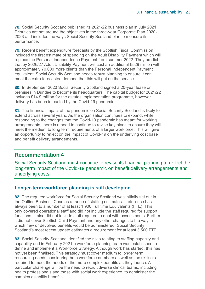**78.** Social Security Scotland published its 2021/22 business plan in July 2021. Priorities are set around the objectives in the three-year Corporate Plan 2020- 2023 and includes the ways Social Security Scotland plan to measure its performance.

**79.** Recent benefit expenditure forecasts by the Scottish Fiscal Commission included the first estimate of spending on the Adult Disability Payment which will replace the Personal Independence Payment from summer 2022. They predict that by 2026/27 Adult Disability Payment will cost an additional £529 million with approximately 70,000 more clients than the Personal Independent Payment equivalent. Social Security Scotland needs robust planning to ensure it can meet the extra forecasted demand that this will put on the service.

**80.** In September 2020 Social Security Scotland signed a 20-year lease on premises in Dundee to become its headquarters. The capital budget for 2021/22 includes £14.9 million for the estates implementation programme, however delivery has been impacted by the Covid-19 pandemic.

**81.** The financial impact of the pandemic on Social Security Scotland is likely to extend across several years. As the organisation continues to expand, while responding to the changes that the Covid-19 pandemic has meant for working arrangements, there is a need to continue to revise key plans to ensure they will meet the medium to long term requirements of a larger workforce. This will give an opportunity to reflect on the impact of Covid-19 on the underlying cost base and benefit delivery arrangements.

#### **Recommendation 4**

Social Security Scotland must continue to revise its financial planning to reflect the long-term impact of the Covid-19 pandemic on benefit delivery arrangements and underlying costs.

#### **Longer-term workforce planning is still developing**

**82.** The required workforce for Social Security Scotland was initially set out in the Outline Business Case as a range of staffing estimates – reference has always been to a number of at least 1,900 Full time Equivalents (FTE). This only covered operational staff and did not include the staff required for support functions. It also did not include staff required to deal with assessments. Further it did not cover Scottish Child Payment and any other changes to the way in which new or devolved benefits would be administered. Social Security Scotland's most recent update estimates a requirement for at least 3,500 FTE.

**83.** Social Security Scotland identified the risks relating to staffing capacity and capability and in February 2021 a workforce planning team was established to define and implement a Workforce Strategy. Although work has started, this has not yet been finalised. This strategy must cover medium to longer term resourcing needs considering both workforce numbers as well as the skillsets required to meet the needs of the more complex benefits as they launch. A particular challenge will be the need to recruit diverse clinical teams, including health professionals and those with social work experience, to administer the complex disability benefits.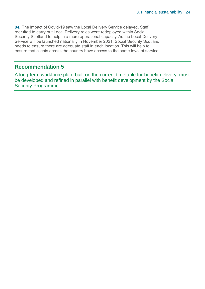**84.** The impact of Covid-19 saw the Local Delivery Service delayed. Staff recruited to carry out Local Delivery roles were redeployed within Social Security Scotland to help in a more operational capacity. As the Local Delivery Service will be launched nationally in November 2021, Social Security Scotland needs to ensure there are adequate staff in each location. This will help to ensure that clients across the country have access to the same level of service.

#### **Recommendation 5**

A long-term workforce plan, built on the current timetable for benefit delivery, must be developed and refined in parallel with benefit development by the Social Security Programme.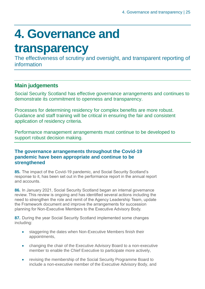## **4. Governance and**

### **transparency**

The effectiveness of scrutiny and oversight, and transparent reporting of information

#### **Main judgements**

Social Security Scotland has effective governance arrangements and continues to demonstrate its commitment to openness and transparency.

Processes for determining residency for complex benefits are more robust. Guidance and staff training will be critical in ensuring the fair and consistent application of residency criteria.

Performance management arrangements must continue to be developed to support robust decision making.

#### **The governance arrangements throughout the Covid-19 pandemic have been appropriate and continue to be strengthened**

**85.** The impact of the Covid-19 pandemic, and Social Security Scotland's response to it, has been set out in the performance report in the annual report and accounts.

**86.** In January 2021, Social Security Scotland began an internal governance review. This review is ongoing and has identified several actions including the need to strengthen the role and remit of the Agency Leadership Team, update the Framework document and improve the arrangements for succession planning for Non-Executive Members to the Executive Advisory Body.

**87.** During the year Social Security Scotland implemented some changes including:

- staggering the dates when Non-Executive Members finish their appointments,
- changing the chair of the Executive Advisory Board to a non-executive member to enable the Chief Executive to participate more actively,
- revising the membership of the Social Security Programme Board to include a non-executive member of the Executive Advisory Body, and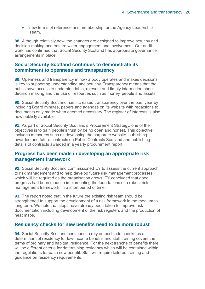• new terms of reference and membership for the Agency Leadership Team.

**88.** Although relatively new, the changes are designed to improve scrutiny and decision-making and ensure wider engagement and involvement. Our audit work has confirmed that Social Security Scotland has appropriate governance arrangements in place.

#### **Social Security Scotland continues to demonstrate its commitment to openness and transparency**

**89.** Openness and transparency in how a body operates and makes decisions is key to supporting understanding and scrutiny. Transparency means that the public have access to understandable, relevant and timely information about decision making and the use of resources such as money, people and assets.

**90.** Social Security Scotland has increased transparency over the past year by including Board minutes, papers and agendas on its website with redactions to documents only made when deemed necessary. The register of interests is also now publicly available.

**91.** As part of Social Security Scotland's Procurement Strategy, one of the objectives is to gain people's trust by being open and honest. This objective includes measures such as developing the corporate website, publishing awarded and future contracts on Public Contracts Scotland and publishing details of contracts awarded in a yearly procurement report.

#### **Progress has been made in developing an appropriate risk management framework**

**92.** Social Security Scotland commissioned EY to assess the current approach to risk management and to help develop future risk management processes which will be required as the organisation grows. EY concluded that good progress had been made in implementing the foundations of a robust risk management framework, in a short period of time.

**93.** The report noted that in the future the existing risk team should be strengthened to support the development of a risk framework in the medium to long term. We note that steps have already been taken to improve risk documentation including development of the risk registers and the production of heat maps.

#### **Residency checks for new benefits need to be more robust**

**94.** Social Security Scotland continues to rely on postcode checks as a determinant of residency for low-income benefits and staff training covers the terms of ordinary and habitual residence. For the next tranche of benefits there will be different criteria for determining residency which will be contained within the regulations for each new benefit. Staff will require tailored training and guidance on residency requirements.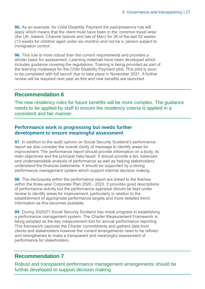**95.** As an example, for Child Disability Payment the past/presence rule will apply which means that the client must have been in the 'common travel area' (the UK, Ireland, Channel Islands and Isle of Man) for 26 of the last 52 weeks (13 weeks for children aged under six months) and not be a 'person subject to immigration control'.

**96.** This rule is more robust than the current requirements and provides a stricter basis for assessment. Learning materials have been developed which includes guidance covering the regulations. Training is being provided as part of the learning routeways for the Child Disability Payment pilot. This pilot is soon to be completed with full launch due to take place in November 2021. A further review will be required next year as this and new benefits are launched.

#### **Recommendation 6**

The new residency rules for future benefits will be more complex. The guidance needs to be applied by staff to ensure the residency criteria is applied in a consistent and fair manner.

#### **Performance work is progressing but needs further development to ensure meaningful assessment**

**97.** In addition to the audit opinion on Social Security Scotland's performance report we also consider the overall clarity of message to identify areas for improvement. The performance report should provide information on a body, its main objectives and the principal risks faced. It should provide a fair, balanced and understandable analysis of performance as well as helping stakeholders understand the financial statements. It should be supported by a strong performance management system which support internal decision making.

**98.** The disclosures within the performance report are linked to the themes within the three-year Corporate Plan 2020 - 2023. It provides good descriptions of performance activity but the performance appraisal should be kept under review to identify areas for improvement, particularly in relation to the establishment of appropriate performance targets and more detailed trend information as this becomes available.

**99.** During 2020/21 Social Security Scotland has made progress in establishing a performance management system. The Charter Measurement Framework is being adopted as the key measurement tool for annual performance reporting. This framework captures the Charter commitments and gathers data from clients and stakeholders however the current arrangements need to be refined and strengthened to make a transparent and meaningful assessment of performance for stakeholders.

#### **Recommendation 7**

Robust and transparent performance management arrangements should be further developed to support decision making.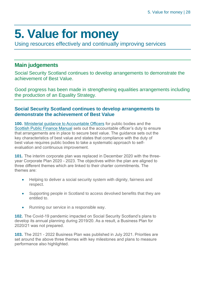## **5. Value for money**

Using resources effectively and continually improving services

#### **Main judgements**

Social Security Scotland continues to develop arrangements to demonstrate the achievement of Best Value.

Good progress has been made in strengthening equalities arrangements including the production of an Equality Strategy.

#### **Social Security Scotland continues to develop arrangements to demonstrate the achievement of Best Value**

**100.** [Ministerial guidance to Accountable Officers](https://www.gov.scot/publications/best-value-public-services-guidance-accountable-officers/) for public bodies and the [Scottish Public Finance Manual](https://www.gov.scot/publications/scottish-public-finance-manual/best-value/best-value/) sets out the accountable officer's duty to ensure that arrangements are in place to secure best value. The guidance sets out the key characteristics of best value and states that compliance with the duty of best value requires public bodies to take a systematic approach to selfevaluation and continuous improvement.

**101.** The interim corporate plan was replaced in December 2020 with the threeyear Corporate Plan 2020 - 2023. The objectives within the plan are aligned to three different themes which are linked to their charter commitments. The themes are:

- Helping to deliver a social security system with dignity, fairness and respect.
- Supporting people in Scotland to access devolved benefits that they are entitled to.
- Running our service in a responsible way.

**102.** The Covid-19 pandemic impacted on Social Security Scotland's plans to develop its annual planning during 2019/20. As a result, a Business Plan for 2020/21 was not prepared.

**103.** The 2021 - 2022 Business Plan was published in July 2021. Priorities are set around the above three themes with key milestones and plans to measure performance also highlighted.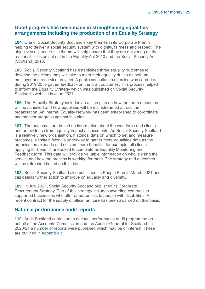#### **Good progress has been made in strengthening equalities arrangements including the production of an Equality Strategy**

**104.** One of Social Security Scotland's key themes in its Corporate Plan is helping to deliver a social security system with dignity, fairness and respect. The objectives aligned to this theme will help ensure that they are delivering on their responsibilities as set out in the Equality Act 2010 and the Social Security Act (Scotland) 2018.

**105.** Social Security Scotland has established three equality outcomes to describe the actions they will take to meet their equality duties as both an employer and a service provider. A public consultation exercise was carried out during 2019/20 to gather feedback on the draft outcomes. This process helped to inform the Equality Strategy which was published on Social Security Scotland's website in June 2021.

**106.** The Equality Strategy includes an action plan on how the three outcomes will be achieved and how equalities will be mainstreamed across the organisation. An Internal Equality Network has been established to co-ordinate and monitor progress against this plan.

**107.** The outcomes are based on information about the workforce and clients and on evidence from equality impact assessments. As Social Security Scotland is a relatively new organisation, historical data on which to set and measure outcomes is limited. Work is underway to gather more equalities data as the organisation expands and delivers more benefits, for example, all clients applying for benefits are asked to complete an Equality Monitoring and Feedback form. This data will provide valuable information on who is using the service and how the process is working for them. The strategy and outcomes will be refreshed based on this data.

**108.** Social Security Scotland also published its People Plan in March 2021 and this details further action to improve on equality and diversity.

**109.** In July 2021, Social Security Scotland published its Corporate Procurement Strategy. Part of this strategy includes awarding contracts to supported businesses who offer opportunities to people with disabilities. A recent contract for the supply of office furniture has been awarded on this basis.

#### **National performance audit reports**

**110.** Audit Scotland carries out a national performance audit programme on behalf of the Accounts Commission and the Auditor General for Scotland. In 2020/21 a number of reports were published which may be of interest. These are outlined in Appendix 3.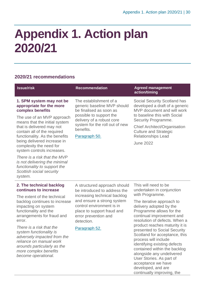### **Appendix 1. Action plan 2020/21**

#### **2020/21 recommendations**

| <b>Issue/risk</b>                                                                                                                            | <b>Recommendation</b>                                                                                          | <b>Agreed management</b><br>action/timing                                                                                                               |
|----------------------------------------------------------------------------------------------------------------------------------------------|----------------------------------------------------------------------------------------------------------------|---------------------------------------------------------------------------------------------------------------------------------------------------------|
| 1. SPM system may not be<br>appropriate for the more<br>complex benefits                                                                     | The establishment of a<br>generic baseline MVP should<br>be finalised as soon as                               | <b>Social Security Scotland has</b><br>developed a draft of a generic<br>MVP document and will work                                                     |
| The use of an MVP approach<br>means that the initial system                                                                                  | possible to support the<br>delivery of a robust core                                                           | to baseline this with Social<br>Security Programme.                                                                                                     |
| that is delivered may not<br>contain all of the required                                                                                     | system for the roll out of new<br>benefits.                                                                    | <b>Chief Architect/Organisation</b><br><b>Culture and Strategic</b>                                                                                     |
| functionality. As the benefits<br>being delivered increase in                                                                                | Paragraph 50.                                                                                                  | <b>Relationships Lead</b><br><b>June 2022</b>                                                                                                           |
| complexity the need for<br>system controls increases.                                                                                        |                                                                                                                |                                                                                                                                                         |
| There is a risk that the MVP<br>is not delivering the minimal<br>functionality to support the<br>Scottish social security<br>system.         |                                                                                                                |                                                                                                                                                         |
| 2. The technical backlog<br>continues to increase                                                                                            | A structured approach should<br>be introduced to address the                                                   | This will need to be<br>undertaken in conjunction                                                                                                       |
| The extent of the technical<br>backlog continues to increase                                                                                 | increasing technical backlog<br>and ensure a strong system                                                     | with Programme.<br>The iterative approach to                                                                                                            |
| impacting on system<br>functionality and the<br>arrangements for fraud and<br>error.                                                         | control environment is in<br>place to support fraud and<br>error prevention and<br>detection.<br>Paragraph 52. | delivery adopted by the<br>Programme allows for the<br>continual improvement and<br>resolution of defects. When a                                       |
| There is a risk that the<br>system functionality is<br>adversely impacted from the<br>reliance on manual work<br>arounds particularly as the |                                                                                                                | product reaches maturity it is<br>presented to Social Security<br>Scotland for acceptance, this<br>process will include<br>identifying existing defects |

*arounds particularly as the more complex benefits become operational.* 

contained within the backlog alongside any undelivered User Stories. As part of acceptance we have developed, and are continually improving, the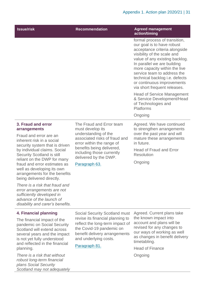| <b>Issue/risk</b>                                                                                                                                       | <b>Recommendation</b>                                                                                                                                                                                                 | <b>Agreed management</b><br>action/timing                                                                                                                                                                                                                                                                                                                           |  |
|---------------------------------------------------------------------------------------------------------------------------------------------------------|-----------------------------------------------------------------------------------------------------------------------------------------------------------------------------------------------------------------------|---------------------------------------------------------------------------------------------------------------------------------------------------------------------------------------------------------------------------------------------------------------------------------------------------------------------------------------------------------------------|--|
|                                                                                                                                                         |                                                                                                                                                                                                                       | formal process of transition,<br>our goal is to have robust<br>acceptance criteria alongside<br>visibility of the scale and<br>value of any existing backlog.<br>In parallel we are building<br>more capacity within the live<br>service team to address the<br>technical backlog <i>i.e.</i> defects<br>or continuous improvements<br>via short frequent releases. |  |
|                                                                                                                                                         |                                                                                                                                                                                                                       | <b>Head of Service Management</b><br>& Service Development/Head<br>of Technologies and<br><b>Platforms</b>                                                                                                                                                                                                                                                          |  |
|                                                                                                                                                         |                                                                                                                                                                                                                       | Ongoing                                                                                                                                                                                                                                                                                                                                                             |  |
| 3. Fraud and error<br>arrangements<br>Fraud and error are an<br>inherent risk in a social<br>security system that is driven                             | The Fraud and Error team<br>must develop its<br>understanding of the<br>associated risks of fraud and<br>error within the range of<br>benefits being delivered,<br>including those currently<br>delivered by the DWP. | Agreed. We have continued<br>to strengthen arrangements<br>over the past year and will<br>mature these arrangements<br>in future.                                                                                                                                                                                                                                   |  |
| by individual claims. Social<br>Security Scotland is still                                                                                              |                                                                                                                                                                                                                       |                                                                                                                                                                                                                                                                                                                                                                     |  |
| reliant on the DWP for many<br>fraud and error estimates as<br>well as developing its own<br>arrangements for the benefits<br>being delivered directly. | Paragraph 63.                                                                                                                                                                                                         | Ongoing                                                                                                                                                                                                                                                                                                                                                             |  |
| There is a risk that fraud and<br>error arrangements are not                                                                                            |                                                                                                                                                                                                                       |                                                                                                                                                                                                                                                                                                                                                                     |  |

*sufficiently developed in advance of the launch of disability and carer's benefits.*

#### **4. Financial planning**

The financial impact of the pandemic on Social Security Scotland will extend across several years and the impact is not yet fully understood and reflected in the financial planning.

*There is a risk that without robust long-term financial plans Social Security Scotland may not adequately* 

Social Security Scotland must revise its financial planning to reflect the long-term impact of the Covid-19 pandemic on benefit delivery arrangements and underlying costs.

#### Paragraph 81.

Agreed. Current plans take the known impact into account and plans will be revised for any changes to our ways of working as well as changes in benefit delivery timetabling.

Head of Finance Ongoing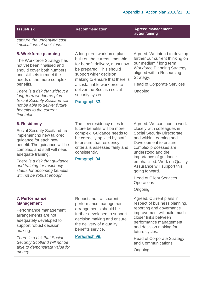**Issue/risk Recommendation Recommendation Agreed management action/timing**

*capture the underlying cost implications of decisions.*

#### **5. Workforce planning**

The Workforce Strategy has not yet been finalised and should cover both numbers and skillsets to meet the needs of the more complex benefits.

*There is a risk that without a long-term workforce plan Social Security Scotland will not be able to deliver future benefits to the current timetable.*

#### **6**. **Residency**

Social Security Scotland are implementing new tailored guidance for each new benefit. The guidance will be complex, and staff will need adequate training.

*There is a risk that guidance and training for residency status for upcoming benefits will not be robust enough.*

A long-term workforce plan, built on the current timetable for benefit delivery, must now be prepared. This should support wider decision making to ensure that there is a sustainable workforce to deliver the Scottish social security system.

#### Paragraph 83.

Agreed. We intend to develop further our current thinking on our medium / long term Workforce Planning Strategy aligned with a Resourcing Strategy.

Head of Corporate Services Ongoing

The new residency rules for future benefits will be more complex. Guidance needs to be correctly applied by staff to ensure that residency criteria is assessed fairly and consistently.

Paragraph 94.

Agreed. We continue to work closely with colleagues in Social Security Directorate and within Learning and Development to ensure complex processes are understood and the importance of guidance emphasised. Work on Quality Assurance will support this going forward.

Head of Client Services **Operations** 

#### Ongoing

Agreed. Current plans in respect of business planning, reporting and governance improvement will build much closer links between performance management and decision making for future cycles.

Head of Corporate Strategy and Communications

**Ongoing** 

#### **7. Performance Management**

Performance management arrangements are not adequately developed to support robust decision making.

*There is a risk that Social Security Scotland will not be able to demonstrate value for money.*

performance management arrangements should be further developed to support decision making and ensure the delivery of a quality benefits service.

Robust and transparent

Paragraph 99.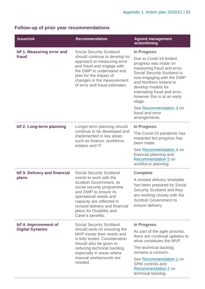### **Follow-up of prior year recommendations**

| <b>Issue/risk</b>                               | <b>Recommendation</b>                                                                                                                                                                                                                                                                | <b>Agreed management</b><br>action/timing                                                                                                                                                                                                                                                                                                        |
|-------------------------------------------------|--------------------------------------------------------------------------------------------------------------------------------------------------------------------------------------------------------------------------------------------------------------------------------------|--------------------------------------------------------------------------------------------------------------------------------------------------------------------------------------------------------------------------------------------------------------------------------------------------------------------------------------------------|
| b/f 1. Measuring error and<br>fraud             | <b>Social Security Scotland</b><br>should continue to develop its<br>approach to measuring error<br>and fraud and engage with<br>the DWP to understand and<br>plan for the impact of<br>changes in the measurement<br>of error and fraud estimates.                                  | In Progress<br>Due to Covid-19 limited<br>progress was made on<br>measuring fraud and error.<br>Social Security Scotland is<br>now engaging with the DWP<br>and Northern Ireland to<br>develop models for<br>estimating fraud and error,<br>however this is at an early<br>stage.<br>See Recommendation 3 on<br>fraud and error<br>arrangements. |
| b/f 2. Long-term planning                       | Longer-term planning should<br>continue to be developed and<br>implemented in key areas<br>such as finance, workforce,<br>estates and IT.                                                                                                                                            | In Progress<br>The Covid-19 pandemic has<br>impacted but progress has<br>been made.<br>See Recommendation 4 on<br>financial planning and<br>Recommendation 5 on<br>workforce planning.                                                                                                                                                           |
| b/f 3. Delivery and financial<br>plans          | <b>Social Security Scotland</b><br>needs to work with the<br>Scottish Government, its<br>social security programme<br>and DWP to ensure its<br>operational needs and<br>capacity are reflected in<br>revised delivery and financial<br>plans for Disability and<br>Carer's benefits. | <b>Complete</b><br>A revised delivery timetable<br>has been prepared by Social<br>Security Scotland and they<br>are working closely with the<br><b>Scottish Government to</b><br>ensure delivery.                                                                                                                                                |
| b/f 4. Improvement of<br><b>Digital Systems</b> | <b>Social Security Scotland</b><br>should work on ensuring the<br>MVP meets their needs and<br>is fully tested. Consideration<br>should also be given to<br>reducing technical backlog,<br>especially in areas where<br>manual workarounds are<br>needed.                            | In Progress<br>As part of the agile process,<br>there are continual updates to<br>what constitutes the MVP.<br>The technical backlog<br>remains a concern.<br>See Recommendation 1 on<br><b>SPM</b> controls and<br>Recommendation 2 on<br>technical backlog.                                                                                    |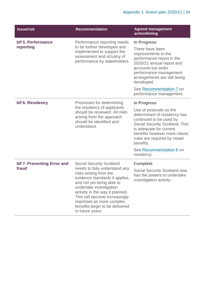| <b>Issue/risk</b>                    | <b>Recommendation</b>                                                                                                                                                                                                                                                                                                                       | <b>Agreed management</b><br>action/timing                                                                                                                                                                                                                                                 |
|--------------------------------------|---------------------------------------------------------------------------------------------------------------------------------------------------------------------------------------------------------------------------------------------------------------------------------------------------------------------------------------------|-------------------------------------------------------------------------------------------------------------------------------------------------------------------------------------------------------------------------------------------------------------------------------------------|
| b/f 5. Performance<br>reporting      | Performance reporting needs<br>to be further developed and<br>implemented to support the<br>assessment and scrutiny of<br>performance by stakeholders.                                                                                                                                                                                      | In Progress<br>There have been<br>improvements to the<br>performance report in the<br>2020/21 annual report and<br>accounts but wider<br>performance management<br>arrangements are still being<br>developed.<br>See Recommendation 7 on<br>performance management.                       |
| b/f 6. Residency                     | Processes for determining<br>the residency of applicants<br>should be reviewed. All risks<br>arising from the approach<br>should be identified and<br>understood.                                                                                                                                                                           | <b>In Progress</b><br>Use of postcode as the<br>determinant of residency has<br>continued to be used by<br>Social Security Scotland. This<br>is adequate for current<br>benefits however more robust<br>rules are required by newer<br>benefits.<br>See Recommendation 6 on<br>residency. |
| b/f 7. Preventing Error and<br>fraud | <b>Social Security Scotland</b><br>needs to fully understand any<br>risks arising from the<br>evidence standards it applies,<br>and not yet being able to<br>undertake investigation<br>activity in the way it planned.<br>This will become increasingly<br>important as more complex<br>benefits begin to be delivered<br>in future years. | <b>Complete</b><br>Social Security Scotland now<br>has the powers to undertake<br>investigation activity.                                                                                                                                                                                 |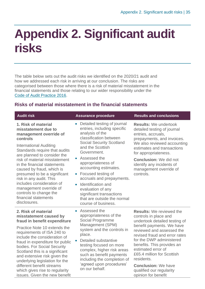### **Appendix 2. Significant audit risks**

The table below sets out the audit risks we identified on the 2020/21 audit and how we addressed each risk in arriving at our conclusion. The risks are categorised between those where there is a risk of material misstatement in the financial statements and those relating to our wider responsibility under the [Code of Audit Practice 2016.](http://www.audit-scotland.gov.uk/report/code-of-audit-practice-2016)

#### **Risks of material misstatement in the financial statements**

| <b>Audit risk</b>                                                                                                                                                                                                                                                                                                                                                                                                                                                  | <b>Assurance procedure</b>                                                                                                                                                                                                                                                                                                                                                                                                                             | <b>Results and conclusions</b>                                                                                                                                                                                                                                                                                                                                                                    |
|--------------------------------------------------------------------------------------------------------------------------------------------------------------------------------------------------------------------------------------------------------------------------------------------------------------------------------------------------------------------------------------------------------------------------------------------------------------------|--------------------------------------------------------------------------------------------------------------------------------------------------------------------------------------------------------------------------------------------------------------------------------------------------------------------------------------------------------------------------------------------------------------------------------------------------------|---------------------------------------------------------------------------------------------------------------------------------------------------------------------------------------------------------------------------------------------------------------------------------------------------------------------------------------------------------------------------------------------------|
| 1. Risk of material<br>misstatement due to<br>management override of<br>controls<br><b>International Auditing</b><br>Standards require that audits<br>are planned to consider the<br>risk of material misstatement<br>in the financial statements<br>caused by fraud, which is<br>presumed to be a significant<br>risk in any audit. This<br>includes consideration of<br>management override of<br>controls to change the<br>financial statements<br>disclosures. | Detailed testing of journal<br>$\bullet$<br>entries, including specific<br>analysis of the<br>classification between<br><b>Social Security Scotland</b><br>and the Scottish<br>Government.<br>Assessed the<br>appropriateness of<br>accounting estimates.<br>Focused testing of<br>$\bullet$<br>accruals and prepayments.<br>Identification and<br>evaluation of any<br>significant transactions<br>that are outside the normal<br>course of business. | <b>Results: We undertook</b><br>detailed testing of journal<br>entries, accruals,<br>prepayments, and invoices.<br>We also reviewed accounting<br>estimates and transactions<br>for appropriateness.<br><b>Conclusion:</b> We did not<br>identify any incidents of<br>management override of<br>controls.                                                                                         |
| 2. Risk of material<br>misstatement caused by<br>fraud in benefit expenditure<br>Practice Note 10 extends the<br>requirements of ISA 240 to<br>include the consideration of<br>fraud in expenditure for public<br>bodies. For Social Security<br>Scotland this is a significant<br>and extensive risk given the<br>underlying legislation for the<br>different benefit streams<br>which gives rise to regularity<br>issues. Given the new benefit                  | Assessed the<br>appropriateness of the<br>Social Programme<br>Management (SPM)<br>system and the controls in<br>place.<br>Detailed substantive<br>$\bullet$<br>testing focused on more<br>complex, higher risk areas<br>such as benefit payments<br>including the completion of<br>'agreed upon procedures'<br>on our behalf.                                                                                                                          | <b>Results:</b> We reviewed the<br>controls in place and<br>undertook detailed testing of<br>benefit payments. We have<br>reviewed and assessed the<br>revised fraud and error rates<br>for the DWP administered<br>benefits. This provides an<br>estimated error of<br>£65.4 million for Scottish<br>residents.<br><b>Conclusion: We have</b><br>qualified our regularity<br>opinion for benefit |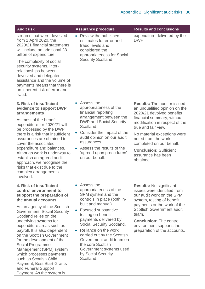| <b>Audit risk</b>                                                                                                                                                                                                                                                                                                                                                                                                                                                                                                    | <b>Assurance procedure</b>                                                                                                                                                                                                                                                                                                                                                                                                | <b>Results and conclusions</b>                                                                                                                                                                                                                                                                                                                |
|----------------------------------------------------------------------------------------------------------------------------------------------------------------------------------------------------------------------------------------------------------------------------------------------------------------------------------------------------------------------------------------------------------------------------------------------------------------------------------------------------------------------|---------------------------------------------------------------------------------------------------------------------------------------------------------------------------------------------------------------------------------------------------------------------------------------------------------------------------------------------------------------------------------------------------------------------------|-----------------------------------------------------------------------------------------------------------------------------------------------------------------------------------------------------------------------------------------------------------------------------------------------------------------------------------------------|
| streams that were devolved<br>from 1 April 2020, the<br>2020/21 financial statements<br>will include an additional £3<br>billion of expenditure.<br>The complexity of social<br>security systems, inter-<br>relationships between<br>devolved and delegated<br>assistance and the volume of<br>payments means that there is<br>an inherent risk of error and<br>fraud.                                                                                                                                               | Review the published<br>$\bullet$<br>estimates for error and<br>fraud levels and<br>considered the<br>appropriateness for Social<br>Security Scotland.                                                                                                                                                                                                                                                                    | expenditure delivered by the<br>DWP.                                                                                                                                                                                                                                                                                                          |
| 3. Risk of insufficient<br>evidence to support DWP<br>arrangements<br>As most of the benefit<br>expenditure for 2020/21 will<br>be processed by the DWP<br>there is a risk that insufficient<br>assurances are obtained to<br>cover the associated<br>expenditure and balances.<br>Although work is underway to<br>establish an agreed audit<br>approach, we recognise the<br>risks that exist due to the<br>complex arrangements<br>involved.                                                                       | • Assess the<br>appropriateness of the<br>financial reporting<br>arrangement between the<br><b>DWP and Social Security</b><br>Scotland.<br>Consider the impact of the<br>audit opinion on our audit<br>assurances.<br>• Assess the results of the<br>'agreed upon procedures'<br>on our behalf.                                                                                                                           | <b>Results: The auditor issued</b><br>an unqualified opinion on the<br>2020/21 devolved benefits<br>financial summary, without<br>modification in respect of the<br>true and fair view.<br>No material exceptions were<br>noted from the work<br>completed on our behalf.<br><b>Conclusion: Sufficient</b><br>assurance has been<br>obtained. |
| 4. Risk of insufficient<br>control environment to<br>support the preparation of<br>the annual accounts<br>As an agency of the Scottish<br>Government, Social Security<br>Scotland relies on the<br>underlying systems for<br>expenditure areas such as<br>payroll. It is also dependent<br>on the Scottish Government<br>for the development of the<br>Social Programme<br>Management (SPM) system<br>which processes payments<br>such as Scottish Child<br><b>Payment, Best Start Grants</b><br>and Funeral Support | Assess the<br>$\bullet$<br>appropriateness of the<br>SPM system and the<br>controls in place (both in-<br>built and manual).<br><b>Focused substantive</b><br>testing on benefit<br>payments delivered by<br>Social Security Scotland.<br>Reliance on the work<br>$\bullet$<br>carried out by the Scottish<br>Government audit team on<br>the core Scottish<br>Government systems used<br>by Social Security<br>Scotland. | <b>Results: No significant</b><br>issues were identified from<br>our audit work on the SPM<br>system, testing of benefit<br>payments or the work of the<br><b>Scottish Government audit</b><br>team.<br><b>Conclusion: The control</b><br>environment supports the<br>preparation of the accounts.                                            |

Payment. As the system is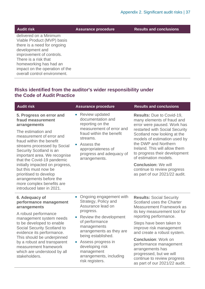| <b>Audit risk</b>              | <b>Assurance procedure</b> | <b>Results and conclusions</b> |
|--------------------------------|----------------------------|--------------------------------|
| delivered on a Minimum         |                            |                                |
| Viable Product (MVP) basis     |                            |                                |
| there is a need for ongoing    |                            |                                |
| development and                |                            |                                |
| improvement of controls.       |                            |                                |
| There is a risk that           |                            |                                |
| homeworking has had an         |                            |                                |
| impact on the operation of the |                            |                                |
| overall control environment.   |                            |                                |

#### **Risks identified from the auditor's wider responsibility under the Code of Audit Practice**

| <b>Audit risk</b>                                                                                                                                                                                                                                                                                                                                                                                                                             | <b>Assurance procedure</b>                                                                                                                                                                                                                                                                                                      | <b>Results and conclusions</b>                                                                                                                                                                                                                                                                                                                                                                                         |
|-----------------------------------------------------------------------------------------------------------------------------------------------------------------------------------------------------------------------------------------------------------------------------------------------------------------------------------------------------------------------------------------------------------------------------------------------|---------------------------------------------------------------------------------------------------------------------------------------------------------------------------------------------------------------------------------------------------------------------------------------------------------------------------------|------------------------------------------------------------------------------------------------------------------------------------------------------------------------------------------------------------------------------------------------------------------------------------------------------------------------------------------------------------------------------------------------------------------------|
| 5. Progress on error and<br>fraud measurement<br>arrangements<br>The estimation and<br>measurement of error and<br>fraud within the benefit<br>streams processed by Social<br>Security Scotland is an<br>important area. We recognise<br>that the Covid-19 pandemic<br>initially impacted on progress,<br>but this must now be<br>prioritised to develop<br>arrangements before the<br>more complex benefits are<br>introduced later in 2021. | Review updated<br>$\bullet$<br>documentation and<br>reporting on the<br>measurement of error and<br>fraud within the benefit<br>streams.<br>• Assess the<br>appropriateness of<br>progress and adequacy of<br>arrangements.                                                                                                     | <b>Results: Due to Covid-19,</b><br>many elements of fraud and<br>error were paused. Work has<br>restarted with Social Security<br>Scotland now looking at the<br>models of estimation used by<br>the DWP and Northern<br>Ireland. This will allow them<br>to progress their development<br>of estimation models.<br><b>Conclusion: We will</b><br>continue to review progress<br>as part of our 2021/22 audit.        |
| 6. Adequacy of<br>performance management<br>arrangements<br>A robust performance<br>management system needs<br>to be developed to enable<br>Social Security Scotland to<br>evidence its performance.<br>This should be underpinned<br>by a robust and transparent<br>measurement framework<br>which are understood by all<br>stakeholders.                                                                                                    | Ongoing engagement with<br>$\bullet$<br>Strategy, Policy and<br>Assurance lead on<br>progress.<br>Review the development<br>$\bullet$<br>of performance<br>managements<br>arrangements as they are<br>being established.<br>• Assess progress in<br>developing risk<br>management<br>arrangements, including<br>risk registers. | <b>Results: Social Security</b><br>Scotland uses the Charter<br><b>Measurement Framework as</b><br>its key measurement tool for<br>reporting performance.<br>Steps have been taken to<br>improve risk management<br>and create a robust system.<br><b>Conclusion: Work on</b><br>performance management<br>arrangements has<br>progressed, but we will<br>continue to review progress<br>as part of our 2021/22 audit. |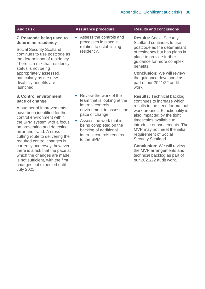| <b>Audit risk</b>                                                                                                                                                                                                                                                                                                                                                                                                                                                                        | <b>Assurance procedure</b>                                                                                                                                                                                                                              | <b>Results and conclusions</b>                                                                                                                                                                                                                                                                                                                                                                                                          |
|------------------------------------------------------------------------------------------------------------------------------------------------------------------------------------------------------------------------------------------------------------------------------------------------------------------------------------------------------------------------------------------------------------------------------------------------------------------------------------------|---------------------------------------------------------------------------------------------------------------------------------------------------------------------------------------------------------------------------------------------------------|-----------------------------------------------------------------------------------------------------------------------------------------------------------------------------------------------------------------------------------------------------------------------------------------------------------------------------------------------------------------------------------------------------------------------------------------|
| 7. Postcode being used to<br>determine residency<br><b>Social Security Scotland</b><br>continues to use postcode as<br>the determinant of residency.<br>There is a risk that residency                                                                                                                                                                                                                                                                                                   | • Assess the controls and<br>processes in place in<br>relation to establishing<br>residency.                                                                                                                                                            | <b>Results: Social Security</b><br>Scotland continues to use<br>postcode as the determinant<br>of residency but has plans in<br>place to provide further<br>guidance for more complex<br>benefits.                                                                                                                                                                                                                                      |
| status is not being<br>appropriately assessed,<br>particularly as the new<br>disability benefits are<br>launched.                                                                                                                                                                                                                                                                                                                                                                        |                                                                                                                                                                                                                                                         | <b>Conclusion:</b> We will review<br>the guidance developed as<br>part of our 2021/22 audit<br>work.                                                                                                                                                                                                                                                                                                                                    |
| 8. Control environment<br>pace of change<br>A number of improvements<br>have been identified for the<br>control environment within<br>the SPM system with a focus<br>on preventing and detecting<br>error and fraud. A cross-<br>cutting route to delivering the<br>required control changes is<br>currently underway, however<br>there is a risk that the pace at<br>which the changes are made<br>is not sufficient, with the first<br>changes not expected until<br><b>July 2021.</b> | • Review the work of the<br>team that is looking at the<br>internal controls<br>environment to assess the<br>pace of change.<br>Assess the work that is<br>being completed on the<br>backlog of additional<br>internal controls required<br>to the SPM. | <b>Results: Technical backlog</b><br>continues to increase which<br>results in the need for manual<br>work arounds. Functionality is<br>also impacted by the tight<br>timescales available to<br>introduce enhancements. The<br>MVP may not meet the initial<br>requirement of Social<br>Security Scotland.<br><b>Conclusion:</b> We will review<br>the MVP arrangements and<br>technical backlog as part of<br>our 2021/22 audit work. |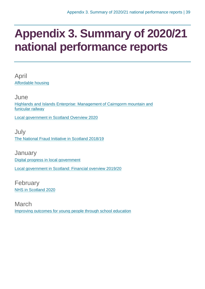### **Appendix 3. Summary of 2020/21 national performance reports**

April [Affordable housing](https://www.audit-scotland.gov.uk/report/affordable-housing)

June [Highlands and Islands Enterprise: Management of Cairngorm mountain and](https://www.audit-scotland.gov.uk/report/highlands-and-islands-enterprise-management-of-cairngorm-mountain-and-funicular-railway)  [funicular railway](https://www.audit-scotland.gov.uk/report/highlands-and-islands-enterprise-management-of-cairngorm-mountain-and-funicular-railway)

[Local government in Scotland Overview 2020](https://www.audit-scotland.gov.uk/report/local-government-in-scotland-overview-2020)

July [The National Fraud Initiative in Scotland 2018/19](https://www.audit-scotland.gov.uk/report/the-national-fraud-initiative-in-scotland-201819)

**January** [Digital progress in local government](https://www.audit-scotland.gov.uk/report/digital-progress-in-local-government) [Local government in Scotland: Financial overview 2019/20](https://www.audit-scotland.gov.uk/report/local-government-in-scotland-financial-overview-201920)

February [NHS in Scotland 2020](https://www.audit-scotland.gov.uk/report/nhs-in-scotland-2020)

March [Improving outcomes for young people through school education](https://www.audit-scotland.gov.uk/report/improving-outcomes-for-young-people-through-school-education)